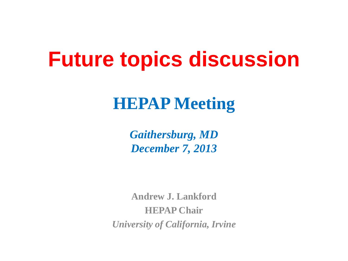# **Future topics discussion**

# **HEPAP Meeting**

*Gaithersburg, MD December 7, 2013*

**Andrew J. Lankford HEPAP Chair** *University of California, Irvine*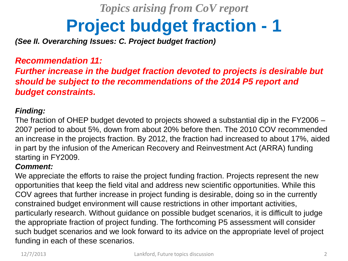### *Topics arising from CoV report* **Project budget fraction - 1**

*(See II. Overarching Issues: C. Project budget fraction)*

### *Recommendation 11:*

*Further increase in the budget fraction devoted to projects is desirable but should be subject to the recommendations of the 2014 P5 report and budget constraints.* 

### *Finding:*

The fraction of OHEP budget devoted to projects showed a substantial dip in the FY2006 – 2007 period to about 5%, down from about 20% before then. The 2010 COV recommended an increase in the projects fraction. By 2012, the fraction had increased to about 17%, aided in part by the infusion of the American Recovery and Reinvestment Act (ARRA) funding starting in FY2009.

#### *Comment:*

We appreciate the efforts to raise the project funding fraction. Projects represent the new opportunities that keep the field vital and address new scientific opportunities. While this COV agrees that further increase in project funding is desirable, doing so in the currently constrained budget environment will cause restrictions in other important activities, particularly research. Without guidance on possible budget scenarios, it is difficult to judge the appropriate fraction of project funding. The forthcoming P5 assessment will consider such budget scenarios and we look forward to its advice on the appropriate level of project funding in each of these scenarios.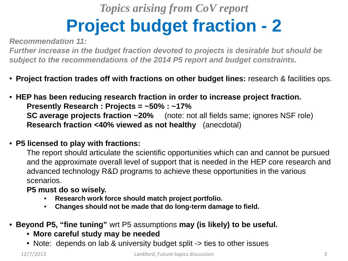# *Topics arising from CoV report* **Project budget fraction - 2**

*Recommendation 11:* 

*Further increase in the budget fraction devoted to projects is desirable but should be subject to the recommendations of the 2014 P5 report and budget constraints.* 

- **Project fraction trades off with fractions on other budget lines:** research & facilities ops.
- **HEP has been reducing research fraction in order to increase project fraction. Presently Research : Projects = ~50% : ~17% SC average projects fraction ~20%** (note: not all fields same; ignores NSF role) **Research fraction <40% viewed as not healthy** (anecdotal)

### • **P5 licensed to play with fractions:**

The report should articulate the scientific opportunities which can and cannot be pursued and the approximate overall level of support that is needed in the HEP core research and advanced technology R&D programs to achieve these opportunities in the various scenarios.

#### **P5 must do so wisely.**

- **Research work force should match project portfolio.**
- **Changes should not be made that do long-term damage to field.**
- **Beyond P5, "fine tuning"** wrt P5 assumptions **may (is likely) to be useful.**
	- **More careful study may be needed**
	- Note: depends on lab & university budget split -> ties to other issues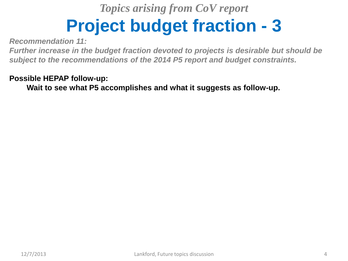## *Topics arising from CoV report* **Project budget fraction - 3**

*Recommendation 11:* 

*Further increase in the budget fraction devoted to projects is desirable but should be subject to the recommendations of the 2014 P5 report and budget constraints.* 

**Possible HEPAP follow-up:** 

**Wait to see what P5 accomplishes and what it suggests as follow-up.**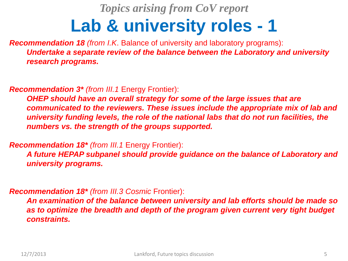## *Topics arising from CoV report* **Lab & university roles - 1**

*Recommendation 18 (from I.K*. Balance of university and laboratory programs): *Undertake a separate review of the balance between the Laboratory and university research programs.*

*Recommendation 3\* (from III.1* Energy Frontier):

*OHEP should have an overall strategy for some of the large issues that are communicated to the reviewers. These issues include the appropriate mix of lab and university funding levels, the role of the national labs that do not run facilities, the numbers vs. the strength of the groups supported.* 

*Recommendation 18\* (from III.1* Energy Frontier):

*A future HEPAP subpanel should provide guidance on the balance of Laboratory and university programs.* 

*Recommendation 18\* (from III.3 Cosmic* Frontier):

*An examination of the balance between university and lab efforts should be made so*  as to optimize the breadth and depth of the program given current very tight budget *constraints.*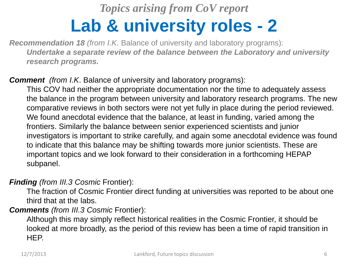# *Topics arising from CoV report* **Lab & university roles - 2**

*Recommendation 18 (from I.K*. Balance of university and laboratory programs): *Undertake a separate review of the balance between the Laboratory and university research programs.*

**Comment** *(from I.K. Balance of university and laboratory programs):* 

This COV had neither the appropriate documentation nor the time to adequately assess the balance in the program between university and laboratory research programs. The new comparative reviews in both sectors were not yet fully in place during the period reviewed. We found anecdotal evidence that the balance, at least in funding, varied among the frontiers. Similarly the balance between senior experienced scientists and junior investigators is important to strike carefully, and again some anecdotal evidence was found to indicate that this balance may be shifting towards more junior scientists. These are important topics and we look forward to their consideration in a forthcoming HEPAP subpanel.

*Finding (from III.3 Cosmic* Frontier):

The fraction of Cosmic Frontier direct funding at universities was reported to be about one third that at the labs.

*Comments (from III.3 Cosmic* Frontier):

Although this may simply reflect historical realities in the Cosmic Frontier, it should be looked at more broadly, as the period of this review has been a time of rapid transition in HEP.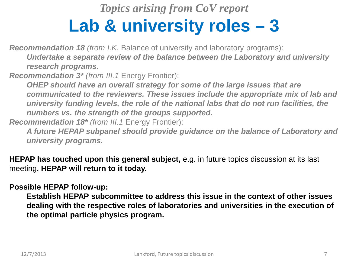### *Topics arising from CoV report* **Lab & university roles – 3**

*Recommendation 18 (from I.K*. Balance of university and laboratory programs):

*Undertake a separate review of the balance between the Laboratory and university research programs.*

*Recommendation 3\* (from III.1* Energy Frontier):

*OHEP should have an overall strategy for some of the large issues that are communicated to the reviewers. These issues include the appropriate mix of lab and university funding levels, the role of the national labs that do not run facilities, the numbers vs. the strength of the groups supported.* 

*Recommendation 18\* (from III.1* Energy Frontier):

*A future HEPAP subpanel should provide guidance on the balance of Laboratory and university programs.* 

**HEPAP has touched upon this general subject,** e.g. in future topics discussion at its last meeting**. HEPAP will return to it today.**

**Possible HEPAP follow-up:**

**Establish HEPAP subcommittee to address this issue in the context of other issues dealing with the respective roles of laboratories and universities in the execution of the optimal particle physics program.**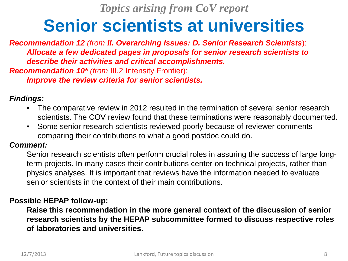### *Topics arising from CoV report* **Senior scientists at universities**

*Recommendation 12 (from II. Overarching Issues: D. Senior Research Scientists*): *Allocate a few dedicated pages in proposals for senior research scientists to describe their activities and critical accomplishments. Recommendation 10\* (from* III.2 Intensity Frontier):

*Improve the review criteria for senior scientists.*

### *Findings:*

- The comparative review in 2012 resulted in the termination of several senior research scientists. The COV review found that these terminations were reasonably documented.
- Some senior research scientists reviewed poorly because of reviewer comments comparing their contributions to what a good postdoc could do.

#### *Comment:*

Senior research scientists often perform crucial roles in assuring the success of large longterm projects. In many cases their contributions center on technical projects, rather than physics analyses. It is important that reviews have the information needed to evaluate senior scientists in the context of their main contributions.

### **Possible HEPAP follow-up:**

**Raise this recommendation in the more general context of the discussion of senior research scientists by the HEPAP subcommittee formed to discuss respective roles of laboratories and universities.**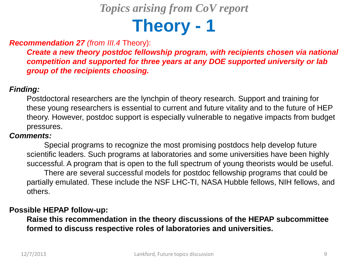## *Topics arising from CoV report* **Theory - 1**

### *Recommendation 27 (from III.4* Theory):

*Create a new theory postdoc fellowship program, with recipients chosen via national competition and supported for three years at any DOE supported university or lab group of the recipients choosing.*

#### *Finding:*

Postdoctoral researchers are the lynchpin of theory research. Support and training for these young researchers is essential to current and future vitality and to the future of HEP theory. However, postdoc support is especially vulnerable to negative impacts from budget pressures.

#### *Comments:*

Special programs to recognize the most promising postdocs help develop future scientific leaders. Such programs at laboratories and some universities have been highly successful. A program that is open to the full spectrum of young theorists would be useful.

There are several successful models for postdoc fellowship programs that could be partially emulated. These include the NSF LHC-TI, NASA Hubble fellows, NIH fellows, and others.

#### **Possible HEPAP follow-up:**

**Raise this recommendation in the theory discussions of the HEPAP subcommittee formed to discuss respective roles of laboratories and universities.**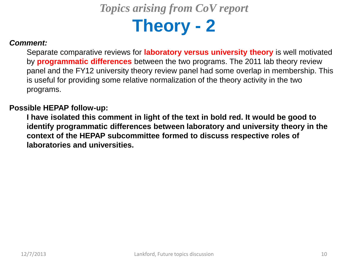# *Topics arising from CoV report* **Theory - 2**

#### *Comment:*

Separate comparative reviews for **laboratory versus university theory** is well motivated by **programmatic differences** between the two programs. The 2011 lab theory review panel and the FY12 university theory review panel had some overlap in membership. This is useful for providing some relative normalization of the theory activity in the two programs.

#### **Possible HEPAP follow-up:**

**I have isolated this comment in light of the text in bold red. It would be good to identify programmatic differences between laboratory and university theory in the context of the HEPAP subcommittee formed to discuss respective roles of laboratories and universities.**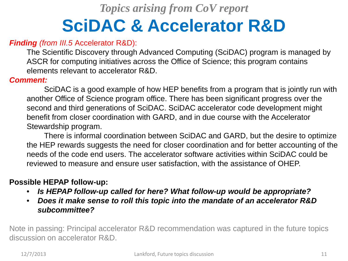## *Topics arising from CoV report* **SciDAC & Accelerator R&D**

#### *Finding (from III.5* Accelerator R&D):

The Scientific Discovery through Advanced Computing (SciDAC) program is managed by ASCR for computing initiatives across the Office of Science; this program contains elements relevant to accelerator R&D.

#### *Comment:*

SciDAC is a good example of how HEP benefits from a program that is jointly run with another Office of Science program office. There has been significant progress over the second and third generations of SciDAC. SciDAC accelerator code development might benefit from closer coordination with GARD, and in due course with the Accelerator Stewardship program.

There is informal coordination between SciDAC and GARD, but the desire to optimize the HEP rewards suggests the need for closer coordination and for better accounting of the needs of the code end users. The accelerator software activities within SciDAC could be reviewed to measure and ensure user satisfaction, with the assistance of OHEP.

### **Possible HEPAP follow-up:**

- *Is HEPAP follow-up called for here? What follow-up would be appropriate?*
- *Does it make sense to roll this topic into the mandate of an accelerator R&D subcommittee?*

Note in passing: Principal accelerator R&D recommendation was captured in the future topics discussion on accelerator R&D.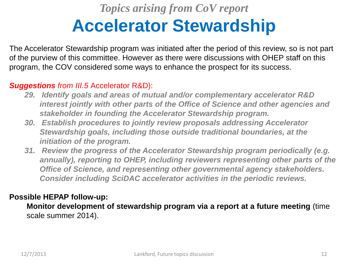### *Topics arising from CoV report* **Accelerator Stewardship**

The Accelerator Stewardship program was initiated after the period of this review, so is not part of the purview of this committee. However as there were discussions with OHEP staff on this program, the COV considered some ways to enhance the prospect for its success.

#### *Suggestions from III.5* Accelerator R&D):

- *29. Identify goals and areas of mutual and/or complementary accelerator R&D interest jointly with other parts of the Office of Science and other agencies and stakeholder in founding the Accelerator Stewardship program.*
- *30. Establish procedures to jointly review proposals addressing Accelerator Stewardship goals, including those outside traditional boundaries, at the initiation of the program.*
- *31. Review the progress of the Accelerator Stewardship program periodically (e.g. annually), reporting to OHEP, including reviewers representing other parts of the Office of Science, and representing other governmental agency stakeholders. Consider including SciDAC accelerator activities in the periodic reviews.*

### **Possible HEPAP follow-up:**

**Monitor development of stewardship program via a report at a future meeting** (time scale summer 2014).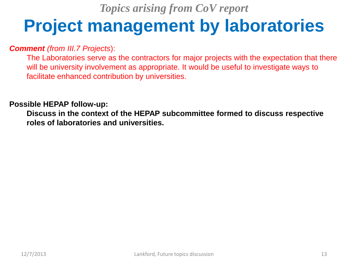## *Topics arising from CoV report* **Project management by laboratories**

### *Comment (from III.7 Projects*):

The Laboratories serve as the contractors for major projects with the expectation that there will be university involvement as appropriate. It would be useful to investigate ways to facilitate enhanced contribution by universities.

#### **Possible HEPAP follow-up:**

**Discuss in the context of the HEPAP subcommittee formed to discuss respective roles of laboratories and universities.**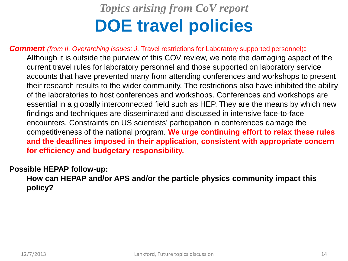## *Topics arising from CoV report* **DOE travel policies**

#### **Comment** (from II. Overarching Issues: J. Travel restrictions for Laboratory supported personnel):

Although it is outside the purview of this COV review, we note the damaging aspect of the current travel rules for laboratory personnel and those supported on laboratory service accounts that have prevented many from attending conferences and workshops to present their research results to the wider community. The restrictions also have inhibited the ability of the laboratories to host conferences and workshops. Conferences and workshops are essential in a globally interconnected field such as HEP. They are the means by which new findings and techniques are disseminated and discussed in intensive face-to-face encounters. Constraints on US scientists' participation in conferences damage the competitiveness of the national program. **We urge continuing effort to relax these rules and the deadlines imposed in their application, consistent with appropriate concern for efficiency and budgetary responsibility.**

#### **Possible HEPAP follow-up:**

**How can HEPAP and/or APS and/or the particle physics community impact this policy?**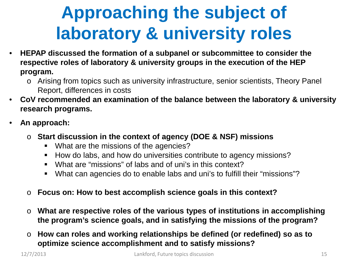# **Approaching the subject of laboratory & university roles**

- **HEPAP discussed the formation of a subpanel or subcommittee to consider the respective roles of laboratory & university groups in the execution of the HEP program.**
	- o Arising from topics such as university infrastructure, senior scientists, Theory Panel Report, differences in costs
- **CoV recommended an examination of the balance between the laboratory & university research programs.**
- **An approach:** 
	- o **Start discussion in the context of agency (DOE & NSF) missions**
		- What are the missions of the agencies?
		- How do labs, and how do universities contribute to agency missions?
		- What are "missions" of labs and of uni's in this context?
		- What can agencies do to enable labs and uni's to fulfill their "missions"?
	- o **Focus on: How to best accomplish science goals in this context?**
	- o **What are respective roles of the various types of institutions in accomplishing the program's science goals, and in satisfying the missions of the program?**
	- o **How can roles and working relationships be defined (or redefined) so as to optimize science accomplishment and to satisfy missions?**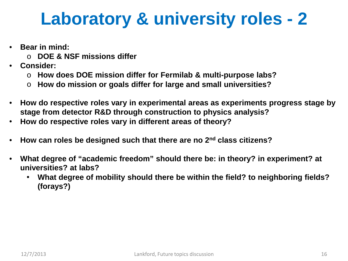# **Laboratory & university roles - 2**

- **Bear in mind:**
	- o **DOE & NSF missions differ**
- **Consider:**
	- o **How does DOE mission differ for Fermilab & multi-purpose labs?**
	- o **How do mission or goals differ for large and small universities?**
- **How do respective roles vary in experimental areas as experiments progress stage by stage from detector R&D through construction to physics analysis?**
- **How do respective roles vary in different areas of theory?**
- **How can roles be designed such that there are no 2nd class citizens?**
- **What degree of "academic freedom" should there be: in theory? in experiment? at universities? at labs?**
	- **What degree of mobility should there be within the field? to neighboring fields? (forays?)**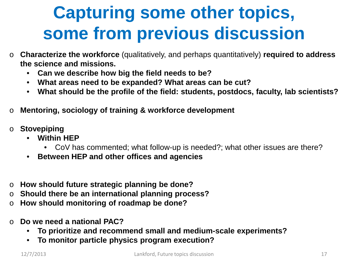# **Capturing some other topics, some from previous discussion**

- o **Characterize the workforce** (qualitatively, and perhaps quantitatively) **required to address the science and missions.**
	- **Can we describe how big the field needs to be?**
	- **What areas need to be expanded? What areas can be cut?**
	- **What should be the profile of the field: students, postdocs, faculty, lab scientists?**
- o **Mentoring, sociology of training & workforce development**
- **Stovepiping** 
	- **Within HEP**
		- CoV has commented; what follow-up is needed?; what other issues are there?
	- **Between HEP and other offices and agencies**
- o **How should future strategic planning be done?**
- o **Should there be an international planning process?**
- o **How should monitoring of roadmap be done?**
- o **Do we need a national PAC?**
	- **To prioritize and recommend small and medium-scale experiments?**
	- **To monitor particle physics program execution?**